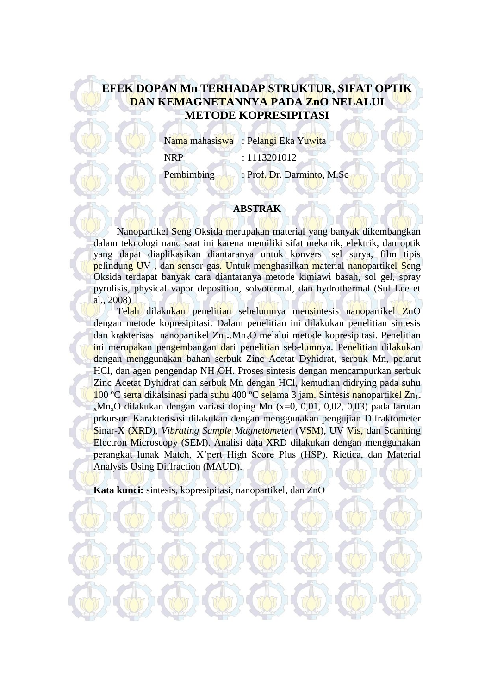## **EFEK DOPAN Mn TERHADAP STRUKTUR, SIFAT OPTIK DAN KEMAGNETANNYA PADA ZnO NELALUI METODE KOPRESIPITASI**

Nama mahasiswa : Pelangi Eka Yuwita NRP : 1113201012 Pembimbing : Prof. Dr. Darminto, M.Sc

## **ABSTRAK**

Nanopartikel Seng Oksida merupakan material yang banyak dikembangkan dalam teknologi nano saat ini karena memiliki sifat mekanik, elektrik, dan optik yang dapat diaplikasikan diantaranya untuk konversi sel surya, film tipis pelindung UV , dan sensor gas. Untuk menghasilkan material nanopartikel Seng Oksida terdapat banyak cara diantaranya metode kimiawi basah, sol gel, spray pyrolisis, physical vapor deposition, solvotermal, dan hydrothermal (Sul Lee et al., 2008)

Telah dilakukan penelitian sebelumnya mensintesis nanopartikel ZnO dengan metode kopresipitasi. Dalam penelitian ini dilakukan penelitian sintesis dan krakterisasi nanopartikel  $Zn_{1-x}Mn_{x}O$  melalui metode kopresipitasi. Penelitian ini merupakan pengembangan dari penelitian sebelumnya. Penelitian dilakukan dengan menggunakan bahan serbuk Zinc Acetat Dyhidrat, serbuk Mn, pelarut HCl, dan agen pengendap NH4OH. Proses sintesis dengan mencampurkan serbuk Zinc Acetat Dyhidrat dan serbuk Mn dengan HCl, kemudian didrying pada suhu 100 °C serta dikalsinasi pada suhu 400 °C selama 3 jam. Sintesis nanopartikel Zn<sub>1-</sub>  $x_{x}$ Mn<sub>x</sub>O dilakukan dengan variasi doping Mn (x=0, 0,01, 0,02, 0,03) pada larutan prkursor. Karakterisasi dilakukan dengan menggunakan pengujian Difraktometer Sinar-X (XRD), *Vibrating Sample Magnetometer* (VSM), UV Vis, dan Scanning Electron Microscopy (SEM). Analisi data XRD dilakukan dengan menggunakan perangkat lunak Match, X'pert High Score Plus (HSP), Rietica, dan Material Analysis Using Diffraction (MAUD).

**Kata kunci:** sintesis, kopresipitasi, nanopartikel, dan ZnO